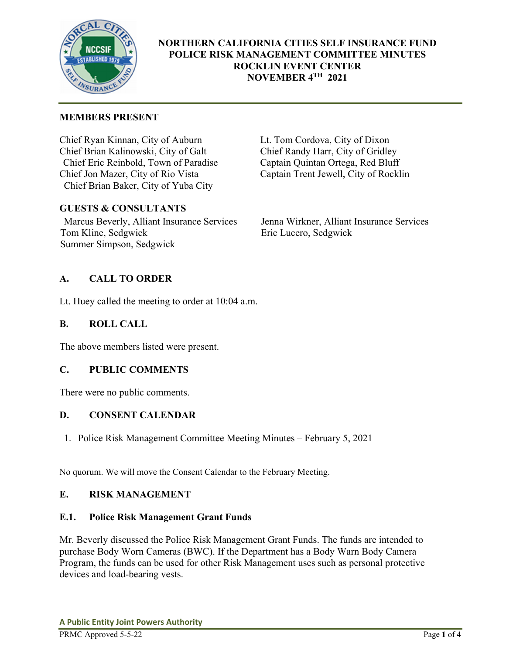

# **NORTHERN CALIFORNIA CITIES SELF INSURANCE FUND POLICE RISK MANAGEMENT COMMITTEE MINUTES ROCKLIN EVENT CENTER NOVEMBER 4TH 2021**

# **MEMBERS PRESENT**

Chief Ryan Kinnan, City of Auburn Lt. Tom Cordova, City of Dixon Chief Brian Kalinowski, City of Galt Chief Randy Harr, City of Gridley Chief Eric Reinbold, Town of Paradise<br>
Chief Jon Mazer, City of Rio Vista<br>
Captain Trent Jewell, City of Rocklin Chief Jon Mazer, City of Rio Vista Chief Brian Baker, City of Yuba City

# **GUESTS & CONSULTANTS**

Marcus Beverly, Alliant Insurance Services Jenna Wirkner, Alliant Insurance Services Tom Kline, Sedgwick Eric Lucero, Sedgwick Summer Simpson, Sedgwick

# **A. CALL TO ORDER**

Lt. Huey called the meeting to order at 10:04 a.m.

## **B. ROLL CALL**

The above members listed were present.

## **C. PUBLIC COMMENTS**

There were no public comments.

## **D. CONSENT CALENDAR**

1. Police Risk Management Committee Meeting Minutes – February 5, 2021

No quorum. We will move the Consent Calendar to the February Meeting.

## **E. RISK MANAGEMENT**

## **E.1. Police Risk Management Grant Funds**

Mr. Beverly discussed the Police Risk Management Grant Funds. The funds are intended to purchase Body Worn Cameras (BWC). If the Department has a Body Warn Body Camera Program, the funds can be used for other Risk Management uses such as personal protective devices and load-bearing vests.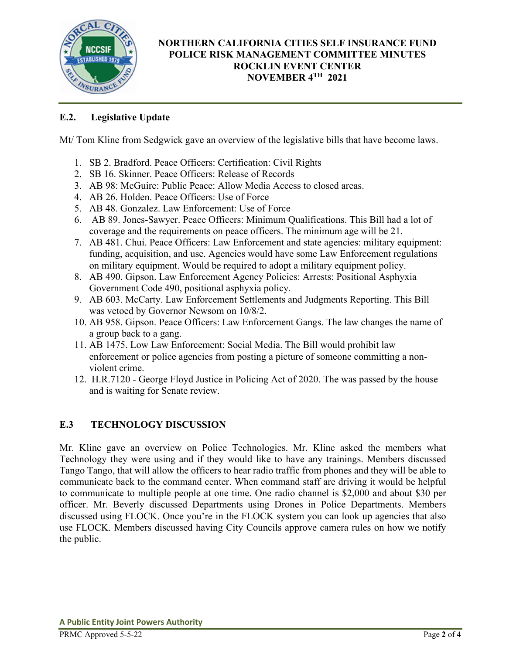

# **NORTHERN CALIFORNIA CITIES SELF INSURANCE FUND POLICE RISK MANAGEMENT COMMITTEE MINUTES ROCKLIN EVENT CENTER NOVEMBER 4TH 2021**

# **E.2. Legislative Update**

Mt/ Tom Kline from Sedgwick gave an overview of the legislative bills that have become laws.

- 1. SB 2. Bradford. Peace Officers: Certification: Civil Rights
- 2. SB 16. Skinner. Peace Officers: Release of Records
- 3. AB 98: McGuire: Public Peace: Allow Media Access to closed areas.
- 4. AB 26. Holden. Peace Officers: Use of Force
- 5. AB 48. Gonzalez. Law Enforcement: Use of Force
- 6. AB 89. Jones-Sawyer. Peace Officers: Minimum Qualifications. This Bill had a lot of coverage and the requirements on peace officers. The minimum age will be 21.
- 7. AB 481. Chui. Peace Officers: Law Enforcement and state agencies: military equipment: funding, acquisition, and use. Agencies would have some Law Enforcement regulations on military equipment. Would be required to adopt a military equipment policy.
- 8. AB 490. Gipson. Law Enforcement Agency Policies: Arrests: Positional Asphyxia Government Code 490, positional asphyxia policy.
- 9. AB 603. McCarty. Law Enforcement Settlements and Judgments Reporting. This Bill was vetoed by Governor Newsom on 10/8/2.
- 10. AB 958. Gipson. Peace Officers: Law Enforcement Gangs. The law changes the name of a group back to a gang.
- 11. AB 1475. Low Law Enforcement: Social Media. The Bill would prohibit law enforcement or police agencies from posting a picture of someone committing a nonviolent crime.
- 12. H.R.7120 George Floyd Justice in Policing Act of 2020. The was passed by the house and is waiting for Senate review.

# **E.3 TECHNOLOGY DISCUSSION**

Mr. Kline gave an overview on Police Technologies. Mr. Kline asked the members what Technology they were using and if they would like to have any trainings. Members discussed Tango Tango, that will allow the officers to hear radio traffic from phones and they will be able to communicate back to the command center. When command staff are driving it would be helpful to communicate to multiple people at one time. One radio channel is \$2,000 and about \$30 per officer. Mr. Beverly discussed Departments using Drones in Police Departments. Members discussed using FLOCK. Once you're in the FLOCK system you can look up agencies that also use FLOCK. Members discussed having City Councils approve camera rules on how we notify the public.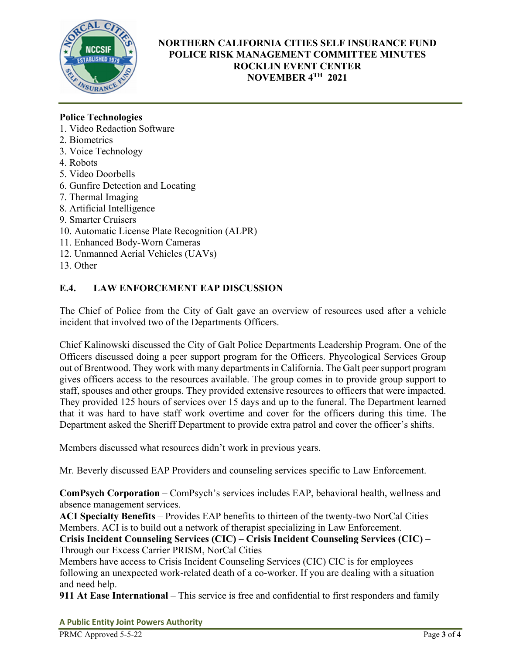

# **NORTHERN CALIFORNIA CITIES SELF INSURANCE FUND POLICE RISK MANAGEMENT COMMITTEE MINUTES ROCKLIN EVENT CENTER NOVEMBER 4TH 2021**

# **Police Technologies**

- 1. Video Redaction Software
- 2. Biometrics
- 3. Voice Technology
- 4. Robots
- 5. Video Doorbells
- 6. Gunfire Detection and Locating
- 7. Thermal Imaging
- 8. Artificial Intelligence
- 9. Smarter Cruisers
- 10. Automatic License Plate Recognition (ALPR)
- 11. Enhanced Body-Worn Cameras
- 12. Unmanned Aerial Vehicles (UAVs)
- 13. Other

# **E.4. LAW ENFORCEMENT EAP DISCUSSION**

The Chief of Police from the City of Galt gave an overview of resources used after a vehicle incident that involved two of the Departments Officers.

Chief Kalinowski discussed the City of Galt Police Departments Leadership Program. One of the Officers discussed doing a peer support program for the Officers. Phycological Services Group out of Brentwood. They work with many departments in California. The Galt peer support program gives officers access to the resources available. The group comes in to provide group support to staff, spouses and other groups. They provided extensive resources to officers that were impacted. They provided 125 hours of services over 15 days and up to the funeral. The Department learned that it was hard to have staff work overtime and cover for the officers during this time. The Department asked the Sheriff Department to provide extra patrol and cover the officer's shifts.

Members discussed what resources didn't work in previous years.

Mr. Beverly discussed EAP Providers and counseling services specific to Law Enforcement.

**ComPsych Corporation** – ComPsych's services includes EAP, behavioral health, wellness and absence management services.

**ACI Specialty Benefits** – Provides EAP benefits to thirteen of the twenty-two NorCal Cities Members. ACI is to build out a network of therapist specializing in Law Enforcement.

**Crisis Incident Counseling Services (CIC)** – **Crisis Incident Counseling Services (CIC)** – Through our Excess Carrier PRISM, NorCal Cities

Members have access to Crisis Incident Counseling Services (CIC) CIC is for employees following an unexpected work-related death of a co-worker. If you are dealing with a situation and need help.

**911 At Ease International** – This service is free and confidential to first responders and family

**A Public Entity Joint Powers Authority**